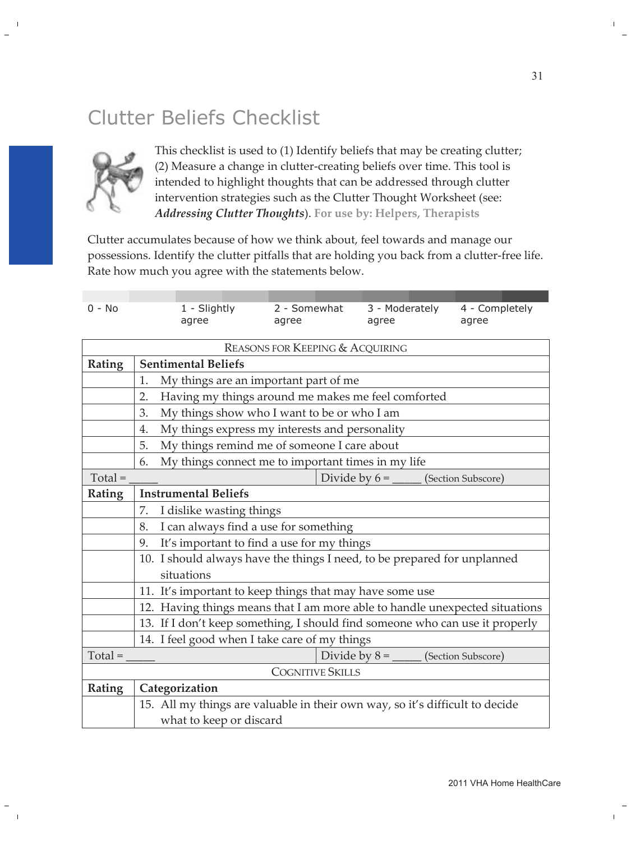## Clutter Beliefs Checklist



This checklist is used to (1) Identify beliefs that may be creating clutter; (2) Measure a change in clutter-creating beliefs over time. This tool is intended to highlight thoughts that can be addressed through clutter intervention strategies such as the Clutter Thought Worksheet (see: Addressing Clutter Thoughts). For use by: Helpers, Therapists

Clutter accumulates because of how we think about, feel towards and manage our possessions. Identify the clutter pitfalls that are holding you back from a clutter-free life. Rate how much you agree with the statements below.

| $0 - No$                                   |                                                                              | 1 - Slightly                                | 2 - Somewhat | 3 - Moderately                             | 4 - Completely     |  |
|--------------------------------------------|------------------------------------------------------------------------------|---------------------------------------------|--------------|--------------------------------------------|--------------------|--|
|                                            |                                                                              | agree                                       | agree        | agree                                      | agree              |  |
|                                            |                                                                              |                                             |              |                                            |                    |  |
| <b>REASONS FOR KEEPING &amp; ACQUIRING</b> |                                                                              |                                             |              |                                            |                    |  |
| Rating                                     | <b>Sentimental Beliefs</b>                                                   |                                             |              |                                            |                    |  |
|                                            | 1.<br>My things are an important part of me                                  |                                             |              |                                            |                    |  |
|                                            | Having my things around me makes me feel comforted<br>2.                     |                                             |              |                                            |                    |  |
|                                            | 3.                                                                           | My things show who I want to be or who I am |              |                                            |                    |  |
|                                            | My things express my interests and personality<br>4.                         |                                             |              |                                            |                    |  |
|                                            | My things remind me of someone I care about<br>5.                            |                                             |              |                                            |                    |  |
|                                            | My things connect me to important times in my life<br>6.                     |                                             |              |                                            |                    |  |
| $Total =$                                  |                                                                              |                                             |              | Divide by $6 = \underline{\hspace{2cm}}$   | (Section Subscore) |  |
| <b>Rating</b>                              | <b>Instrumental Beliefs</b>                                                  |                                             |              |                                            |                    |  |
|                                            | 7.                                                                           | I dislike wasting things                    |              |                                            |                    |  |
|                                            | I can always find a use for something<br>8.                                  |                                             |              |                                            |                    |  |
|                                            | It's important to find a use for my things<br>9.                             |                                             |              |                                            |                    |  |
|                                            | 10. I should always have the things I need, to be prepared for unplanned     |                                             |              |                                            |                    |  |
|                                            |                                                                              | situations                                  |              |                                            |                    |  |
|                                            | 11. It's important to keep things that may have some use                     |                                             |              |                                            |                    |  |
|                                            | 12. Having things means that I am more able to handle unexpected situations  |                                             |              |                                            |                    |  |
|                                            | 13. If I don't keep something, I should find someone who can use it properly |                                             |              |                                            |                    |  |
|                                            | 14. I feel good when I take care of my things                                |                                             |              |                                            |                    |  |
| $Total =$                                  |                                                                              |                                             |              | Divide by $8 =$ _______ (Section Subscore) |                    |  |
| <b>COGNITIVE SKILLS</b>                    |                                                                              |                                             |              |                                            |                    |  |
| Rating                                     | Categorization                                                               |                                             |              |                                            |                    |  |
|                                            | 15. All my things are valuable in their own way, so it's difficult to decide |                                             |              |                                            |                    |  |
|                                            |                                                                              | what to keep or discard                     |              |                                            |                    |  |